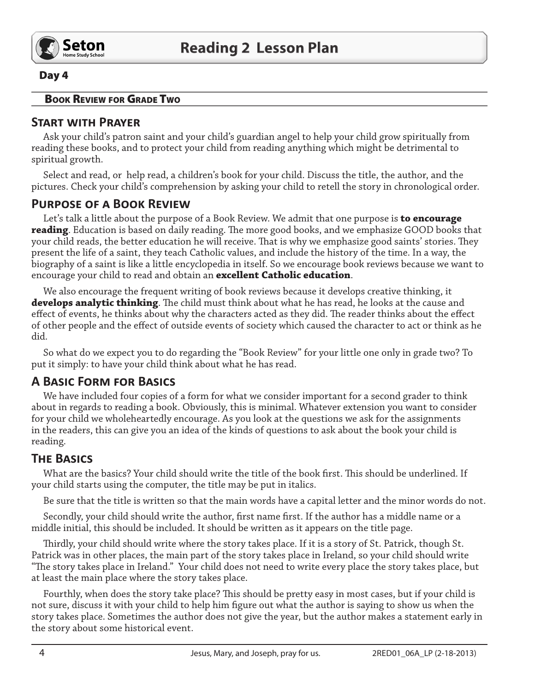

#### Day 4

#### **BOOK REVIEW FOR GRADE TWO**

### START WITH PRAYER

Ask your child's patron saint and your child's guardian angel to help your child grow spiritually from reading these books, and to protect your child from reading anything which might be detrimental to spiritual growth.

Select and read, or help read, a children's book for your child. Discuss the title, the author, and the pictures. Check your child's comprehension by asking your child to retell the story in chronological order.

#### **PURPOSE OF A BOOK REVIEW**

Let's talk a little about the purpose of a Book Review. We admit that one purpose is **to encourage** reading. Education is based on daily reading. The more good books, and we emphasize GOOD books that your child reads, the better education he will receive. That is why we emphasize good saints' stories. They present the life of a saint, they teach Catholic values, and include the history of the time. In a way, the biography of a saint is like a little encyclopedia in itself. So we encourage book reviews because we want to encourage your child to read and obtain an **excellent Catholic education**.

We also encourage the frequent writing of book reviews because it develops creative thinking, it develops analytic thinking. The child must think about what he has read, he looks at the cause and effect of events, he thinks about why the characters acted as they did. The reader thinks about the effect of other people and the effect of outside events of society which caused the character to act or think as he did.

So what do we expect you to do regarding the "Book Review" for your little one only in grade two? To put it simply: to have your child think about what he has read.

# **A BASIC FORM FOR BASICS**

We have included four copies of a form for what we consider important for a second grader to think about in regards to reading a book. Obviously, this is minimal. Whatever extension you want to consider for your child we wholeheartedly encourage. As you look at the questions we ask for the assignments in the readers, this can give you an idea of the kinds of questions to ask about the book your child is reading.

# **THE BASICS**

What are the basics? Your child should write the title of the book first. This should be underlined. If your child starts using the computer, the title may be put in italics.

Be sure that the title is written so that the main words have a capital letter and the minor words do not.

Secondly, your child should write the author, first name first. If the author has a middle name or a middle initial, this should be included. It should be written as it appears on the title page.

Thirdly, your child should write where the story takes place. If it is a story of St. Patrick, though St. Patrick was in other places, the main part of the story takes place in Ireland, so your child should write "The story takes place in Ireland." Your child does not need to write every place the story takes place, but at least the main place where the story takes place.

Fourthly, when does the story take place? This should be pretty easy in most cases, but if your child is not sure, discuss it with your child to help him figure out what the author is saying to show us when the story takes place. Sometimes the author does not give the year, but the author makes a statement early in the story about some historical event.